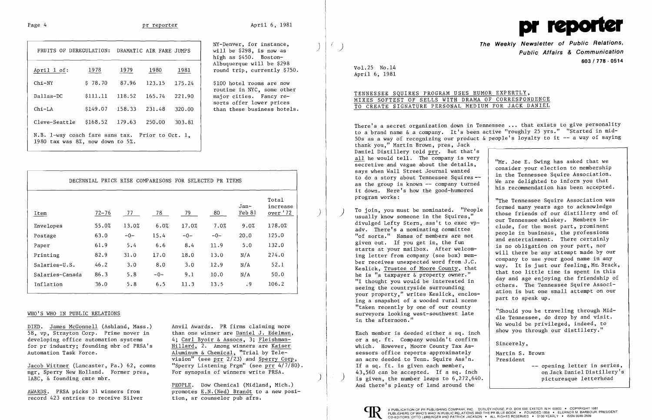# Page 4 pr reporter

| FRUITS OF DEREGULATION:                                                                 |          |        | DRAMATIC AIR FARE JUMPS |        |  |  |  |
|-----------------------------------------------------------------------------------------|----------|--------|-------------------------|--------|--|--|--|
| April 1 of:                                                                             | 1978     | 1979   | 1980                    | 1981   |  |  |  |
| $Chi-NY$                                                                                | \$78.70  | 87.96  | 123.15                  | 175.24 |  |  |  |
| $D$ allas- $DC$                                                                         | \$111.11 | 118.52 | 165.74                  | 221.90 |  |  |  |
| $Chi-LA$                                                                                | \$149.07 | 158.33 | 231.48                  | 320.00 |  |  |  |
| Cleve-Seattle                                                                           | \$168.52 | 179.63 | 250.00                  | 303.81 |  |  |  |
| N.B. 1-way coach fare sans tax.<br>Prior to Oct. 1.<br>1980 tax was 8%, now down to 5%. |          |        |                         |        |  |  |  |

NY-Denver, for instance, will be \$298, is now as high as \$450. Boston-Albuquerque will be \$298 round trip, currently \$750.

\$100 hotel rooms are now routine in NYC, some other major cities. Fancy resorts offer lower prices than these business hotels.

| Item            | $72 - 76$ | 77    | 78    | 79    | 80    | Jan-<br>Feb 81 | Total<br>increase<br>over '72 |
|-----------------|-----------|-------|-------|-------|-------|----------------|-------------------------------|
| Envelopes       | 55.0%     | 13.0% | 6.0%  | 17.0% | 7.0%  | 9.0%           | 178.0%                        |
| Postage         | 63.0      | $-0-$ | 15.4  | $-0-$ | $-0-$ | 20.0           | 125.0                         |
| Paper           | 61.9      | 5.4   | 6.6   | 8.4   | 11.9  | 5.0            | 132.0                         |
| Printing        | 82.9      | 31.0  | 17.0  | 18.0  | 13.0  | N/A            | 274.0                         |
| Salaries-U.S.   | 46.2      | 3.0   | 8.0   | 3.0   | 12.9  | N/A            | 52.1                          |
| Salaries-Canada | 86.3      | 5.8   | $-0-$ | 9.1   | 10.0  | N/A            | 50.0                          |
| Inflation       | 36.0      | 5.8   | 6.5   | 11.3  | 13.5  | .9             | 106.2                         |

### WHO'S WHO IN PUBLIC RELATIONS

DIED. James McGonnell (Ashland, Mass.) 58, vp, Strayton Corp. Prime mover in developing office automation systems for pr industry; founding mbr of PRSA's Automation Task Force.

Jacob Wittmer (Lancaster, Pa.) 62, comns mgr, Sperry New Holland. Former pres, IABC, & founding cmte mbr.

AWARDS. PRSA picks 31 winners from record 423 entries to receive Silver Anvil Awards. PR firms claiming more than one winner are Daniel J. Edelman, 4; Carl Byoir & Assocs, 3; Fleishman-Hillard, 2. Among winners are Kaiser Aluminum & Chemical, "Trial by Tele- $\overline{vision''}$  (see prr 2/23) and Sperry Corp, "Sperry Listening Prgm" (see prr 4/7/80). For synopsis of winners write PRSA.

usually know someone in the Squires," To join, you must be nominated. "People ) divulged Lefty Stern, ass't to exec vpadv. There's a nominating committee "of sorts." Names of members are not given out. If you get in, the fun starts at your mailbox. After welcoming letter from company (see box) member receives unexpected word from J.C. Keslick, Trustee of Moore County, that he is "a taxpayer & property owner." "I thought you would be interested in seeing the countryside surrounding your property," writes Keslick, enclosing a snapshot of 'a wooded rural scene "taken recently by one of our county surveyors looking west-southwest late in the afternoon."

PEOPLE. Dow Chemical (Midland, Mich.) promotes E.N.(Ned) Brandt to a new position, sr counselor pub afrs.

)

I



**The Weekly Newsletter of Public Relations,** ) **Public Affairs & Communication 603/778 - 0514** 

Vol. 25 No.14 April 6, 1981

# TENNESSEE SQUIRES PROGRAM USES HUMOR EXPERTLY, MIXES SOFTEST OF SELLS WITH DRAMA OF CORRESPONDENCE TO CREATE SIGNATURE PERSONAL MEDIUM FOR JACK DANIEL

"The Tennessee Squire Association was formed many years ago to acknowledge those friends of our distillery and of our Tennessee whiskey. Members include, for the most part, prominent people in business, the professions and entertainment. There certainly is no obligation on your part, nor will there be any attempt made by our company to use your good name in any way. It is just our feeling, Mr. Brack, that too little time is spent in this day and age enjoying the friendship of others. The Tennessee Squire Association is but one small attempt on our part to speak up.

"Should you be traveling through Middle Tennessee, do drop by and visit. We would be privileged, indeed, to show you through our distillery."

There's a secret organization down in Tennessee ... that exists to give personality to a brand name & a company. It's been active "roughly 25 yrs." "Started in mid-50s as a way of recognizing our product & people's loyalty to it -- a way of saying thank you," Martin Brown, pres, Jack Daniel Distillery told prr. But that's all he would tell. The company is very secretive and vague about the details, says when Wall Street Journal wanted to do a story about Tennessee Squires as the group is known -- company turned it down. Here's how the good-humored program works: "Mr. Joe E. Swing has asked that we consider your election to membership in the Tennessee Squire Association. We are delighted to inform you that his recommendation has been accepted.

Each member is deeded either a sq. inch or a sq. ft. Company wouldn't confirm which. However, Moore County Tax Assessors office reports approximately an acre deeded to Tenn. Squire Ass'n. If a sq. ft. is given each member,<br>43,560 can be accepted. If a sq. inch 43,560 can be accepted. If a sq. inch and the mode on Jack Daniel Distiller<br>is given, the number leaps to 6,272,640. And there's plenty of land around the



Sincerely,

Martin S. Brown President

-- opening letter in series, on Jack Daniel Distillery's

)